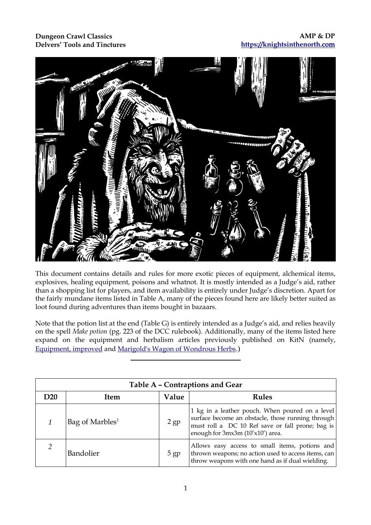## **Dungeon Crawl Classics Delvers' Tools and Tinctures**



This document contains details and rules for more exotic pieces of equipment, alchemical items, explosives, healing equipment, poisons and whatnot. It is mostly intended as a Judge's aid, rather than a shopping list for players, and item availability is entirely under Judge's discretion. Apart for the fairly mundane items listed in Table A, many of the pieces found here are likely better suited as loot found during adventures than items bought in bazaars.

Note that the potion list at the end (Table G) is entirely intended as a Judge's aid, and relies heavily on the spell *Make potion* (pg. 223 of the DCC rulebook). Additionally, many of the items listed here expand on the equipment and herbalism articles previously published on KitN (namely, [Equipment, improved](https://knightsinthenorth.blog/2017/08/19/equipment-improved/) and [Marigold's Wagon of Wondrous Herbs](https://knightsinthenorth.blog/2017/09/22/marigolds-wagon-of-wondrous-herbs/).)

|     | Table A - Contraptions and Gear |        |                                                                                                                                                                                              |  |  |
|-----|---------------------------------|--------|----------------------------------------------------------------------------------------------------------------------------------------------------------------------------------------------|--|--|
| D20 | <b>Item</b>                     | Value  | <b>Rules</b>                                                                                                                                                                                 |  |  |
|     | Bag of Marbles <sup>1</sup>     | $2$ gp | 1 kg in a leather pouch. When poured on a level<br>surface become an obstacle, those running through<br>must roll a DC 10 Ref save or fall prone; bag is<br>enough for 3mx3m (10'x10') area. |  |  |
|     | Bandolier                       | $5$ gp | Allows easy access to small items, potions and<br>thrown weapons; no action used to access items, can<br>throw weapons with one hand as if dual wielding.                                    |  |  |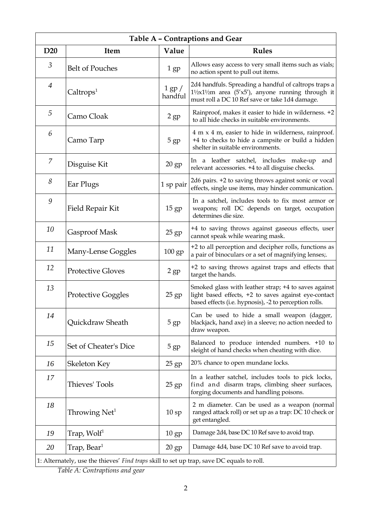| Table A - Contraptions and Gear |                           |                       |                                                                                                                                                                        |  |  |
|---------------------------------|---------------------------|-----------------------|------------------------------------------------------------------------------------------------------------------------------------------------------------------------|--|--|
| D <sub>20</sub>                 | Item                      | Value                 | <b>Rules</b>                                                                                                                                                           |  |  |
| 3                               | <b>Belt of Pouches</b>    | 1 <sub>gp</sub>       | Allows easy access to very small items such as vials;<br>no action spent to pull out items.                                                                            |  |  |
| $\overline{4}$                  | Caltrops <sup>1</sup>     | $1$ gp $/$<br>handful | 2d4 handfuls. Spreading a handful of caltrops traps a<br>$1\frac{1}{2}x$ 1½m area (5'x5'), anyone running through it<br>must roll a DC 10 Ref save or take 1d4 damage. |  |  |
| 5                               | Camo Cloak                | $2$ gp                | Rainproof, makes it easier to hide in wilderness. +2<br>to all hide checks in suitable environments.                                                                   |  |  |
| 6                               | Camo Tarp                 | 5 <sub>gp</sub>       | 4 m x 4 m, easier to hide in wilderness, rainproof.<br>+4 to checks to hide a campsite or build a hidden<br>shelter in suitable environments.                          |  |  |
| $\overline{7}$                  | Disguise Kit              | $20$ gp               | In a leather satchel, includes make-up<br>and<br>relevant accessories. +4 to all disguise checks.                                                                      |  |  |
| 8                               | Ear Plugs                 | 1 sp pair             | 2d6 pairs. +2 to saving throws against sonic or vocal<br>effects, single use items, may hinder communication.                                                          |  |  |
| 9                               | Field Repair Kit          | $15$ gp               | In a satchel, includes tools to fix most armor or<br>weapons; roll DC depends on target, occupation<br>determines die size.                                            |  |  |
| 10                              | Gasproof Mask             | 25 gp                 | +4 to saving throws against gaseous effects, user<br>cannot speak while wearing mask.                                                                                  |  |  |
| 11                              | Many-Lense Goggles        | $100$ gp              | +2 to all perception and decipher rolls, functions as<br>a pair of binoculars or a set of magnifying lenses;.                                                          |  |  |
| 12                              | <b>Protective Gloves</b>  | $2$ gp                | +2 to saving throws against traps and effects that<br>target the hands.                                                                                                |  |  |
| 13                              | <b>Protective Goggles</b> | $25$ gp               | Smoked glass with leather strap; +4 to saves against<br>light based effects, +2 to saves against eye-contact<br>based effects (i.e. hypnosis), -2 to perception rolls. |  |  |
| 14                              | Quickdraw Sheath          | 5 gp                  | Can be used to hide a small weapon (dagger,<br>blackjack, hand axe) in a sleeve; no action needed to<br>draw weapon.                                                   |  |  |
| 15                              | Set of Cheater's Dice     | 5 gp                  | Balanced to produce intended numbers. +10 to<br>sleight of hand checks when cheating with dice.                                                                        |  |  |
| 16                              | Skeleton Key              | $25$ gp               | 20% chance to open mundane locks.                                                                                                                                      |  |  |
| 17                              | Thieves' Tools            | $25$ gp               | In a leather satchel, includes tools to pick locks,<br>find and disarm traps, climbing sheer surfaces,<br>forging documents and handling poisons.                      |  |  |
| 18                              | Throwing $Net1$           | 10sp                  | 2 m diameter. Can be used as a weapon (normal<br>ranged attack roll) or set up as a trap: DC 10 check or<br>get entangled.                                             |  |  |
| 19                              | Trap, Wolf <sup>1</sup>   | $10 \text{ gp}$       | Damage 2d4, base DC 10 Ref save to avoid trap.                                                                                                                         |  |  |
| 20                              | Trap, Bear <sup>1</sup>   | $20$ gp               | Damage 4d4, base DC 10 Ref save to avoid trap.                                                                                                                         |  |  |

1: Alternately, use the thieves' *Find traps* skill to set up trap, save DC equals to roll.

*Table A: Contraptions and gear*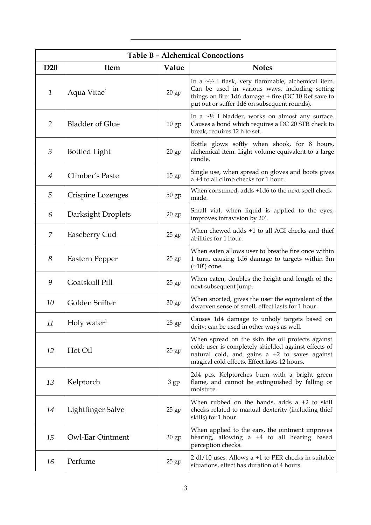| <b>Table B - Alchemical Concoctions</b> |                           |                  |                                                                                                                                                                                                                     |  |
|-----------------------------------------|---------------------------|------------------|---------------------------------------------------------------------------------------------------------------------------------------------------------------------------------------------------------------------|--|
| D <sub>20</sub>                         | <b>Item</b>               | Value            | <b>Notes</b>                                                                                                                                                                                                        |  |
| $\mathbf{1}$                            | Aqua Vitae <sup>1</sup>   | 20 gp            | In a $\sim$ 1/2 1 flask, very flammable, alchemical item.<br>Can be used in various ways, including setting<br>things on fire: 1d6 damage + fire (DC 10 Ref save to<br>put out or suffer 1d6 on subsequent rounds). |  |
| 2                                       | <b>Bladder of Glue</b>    | $10$ gp          | In a $\sim$ <sup>1</sup> / <sub>2</sub> l bladder, works on almost any surface.<br>Causes a bond which requires a DC 20 STR check to<br>break, requires 12 h to set.                                                |  |
| 3                                       | <b>Bottled Light</b>      | $20$ gp          | Bottle glows softly when shook, for 8 hours,<br>alchemical item. Light volume equivalent to a large<br>candle.                                                                                                      |  |
| $\overline{4}$                          | Climber's Paste           | 15 <sub>gp</sub> | Single use, when spread on gloves and boots gives<br>a +4 to all climb checks for 1 hour.                                                                                                                           |  |
| 5                                       | Crispine Lozenges         | 50 gp            | When consumed, adds +1d6 to the next spell check<br>made.                                                                                                                                                           |  |
| 6                                       | Darksight Droplets        | $20$ gp          | Small vial, when liquid is applied to the eyes,<br>improves infravision by 20'.                                                                                                                                     |  |
| 7                                       | Easeberry Cud             | $25$ gp          | When chewed adds +1 to all AGI checks and thief<br>abilities for 1 hour.                                                                                                                                            |  |
| 8                                       | Eastern Pepper            | $25$ gp          | When eaten allows user to breathe fire once within<br>1 turn, causing 1d6 damage to targets within 3m<br>$(\sim10')$ cone.                                                                                          |  |
| 9                                       | Goatskull Pill            | 25 gp            | When eaten, doubles the height and length of the<br>next subsequent jump.                                                                                                                                           |  |
| 10                                      | Golden Snifter            | 30 gp            | When snorted, gives the user the equivalent of the<br>dwarven sense of smell, effect lasts for 1 hour.                                                                                                              |  |
| 11                                      | $Holy$ water <sup>1</sup> | $25$ gp          | Causes 1d4 damage to unholy targets based on<br>deity; can be used in other ways as well.                                                                                                                           |  |
| 12                                      | Hot Oil                   | $25$ gp          | When spread on the skin the oil protects against<br>cold; user is completely shielded against effects of<br>natural cold, and gains $a + 2$ to saves against<br>magical cold effects. Effect lasts 12 hours.        |  |
| 13                                      | Kelptorch                 | $3$ gp           | 2d4 pcs. Kelptorches burn with a bright green<br>flame, and cannot be extinguished by falling or<br>moisture.                                                                                                       |  |
| 14                                      | Lightfinger Salve         | $25$ gp          | When rubbed on the hands, adds $a + 2$ to skill<br>checks related to manual dexterity (including thief<br>skills) for 1 hour.                                                                                       |  |
| 15                                      | <b>Owl-Ear Ointment</b>   | 30 gp            | When applied to the ears, the ointment improves<br>hearing, allowing a +4 to all hearing based<br>perception checks.                                                                                                |  |
| 16                                      | Perfume                   | $25$ gp          | $2$ dl/10 uses. Allows a +1 to PER checks in suitable<br>situations, effect has duration of 4 hours.                                                                                                                |  |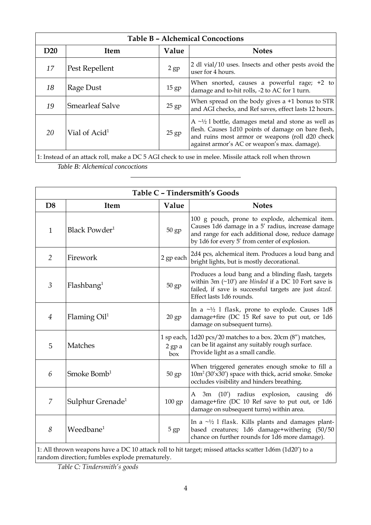| <b>Table B - Alchemical Concoctions</b> |                           |         |                                                                                                                                                                                                                                             |
|-----------------------------------------|---------------------------|---------|---------------------------------------------------------------------------------------------------------------------------------------------------------------------------------------------------------------------------------------------|
| D <sub>20</sub>                         | Item                      | Value   | <b>Notes</b>                                                                                                                                                                                                                                |
| 17                                      | Pest Repellent            | 2 gp    | 2 dl vial/10 uses. Insects and other pests avoid the<br>user for 4 hours.                                                                                                                                                                   |
| 18                                      | Rage Dust                 | 15 gp   | When snorted, causes a powerful rage; $+2$ to<br>damage and to-hit rolls, -2 to AC for 1 turn.                                                                                                                                              |
| 19                                      | <b>Smearleaf Salve</b>    | $25$ gp | When spread on the body gives a $+1$ bonus to STR<br>and AGI checks, and Ref saves, effect lasts 12 hours.                                                                                                                                  |
| 20                                      | Vial of Acid <sup>1</sup> | $25$ gp | A $\sim$ <sup>1</sup> / <sub>2</sub> l bottle, damages metal and stone as well as<br>flesh. Causes 1d10 points of damage on bare flesh,<br>and ruins most armor or weapons (roll d20 check)<br>against armor's AC or weapon's max. damage). |
|                                         |                           |         |                                                                                                                                                                                                                                             |

1: Instead of an attack roll, make a DC 5 AGI check to use in melee. Missile attack roll when thrown

*Table B: Alchemical concoctions*

| Table C - Tindersmith's Goods |                              |                             |                                                                                                                                                                                                            |  |  |
|-------------------------------|------------------------------|-----------------------------|------------------------------------------------------------------------------------------------------------------------------------------------------------------------------------------------------------|--|--|
| D <sub>8</sub>                | Item                         | Value                       | <b>Notes</b>                                                                                                                                                                                               |  |  |
| $\mathbf{1}$                  | Black Powder <sup>1</sup>    | 50 gp                       | 100 g pouch, prone to explode, alchemical item.<br>Causes 1d6 damage in a 5' radius, increase damage<br>and range for each additional dose, reduce damage<br>by 1d6 for every 5' from center of explosion. |  |  |
| $\overline{2}$                | Firework                     | 2 gp each                   | 2d4 pcs, alchemical item. Produces a loud bang and<br>bright lights, but is mostly decorational.                                                                                                           |  |  |
| $\beta$                       | Flashbang <sup>1</sup>       | 50 gp                       | Produces a loud bang and a blinding flash, targets<br>within 3m $(\sim 10')$ are blinded if a DC 10 Fort save is<br>failed, if save is successful targets are just dazed.<br>Effect lasts 1d6 rounds.      |  |  |
| 4                             | Flaming $Oil1$               | $20$ gp                     | In a $\sim$ <sup>1</sup> / <sub>2</sub> 1 flask, prone to explode. Causes 1d8<br>damage+fire (DC 15 Ref save to put out, or 1d6<br>damage on subsequent turns).                                            |  |  |
| 5                             | <b>Matches</b>               | 1 sp each,<br>2 gp a<br>box | 1d20 pcs/20 matches to a box. 20cm (8") matches,<br>can be lit against any suitably rough surface.<br>Provide light as a small candle.                                                                     |  |  |
| 6                             | Smoke Bomb <sup>1</sup>      | $50$ gp                     | When triggered generates enough smoke to fill a<br>10m <sup>2</sup> (30'x30') space with thick, acrid smoke. Smoke<br>occludes visibility and hinders breathing.                                           |  |  |
| $\overline{7}$                | Sulphur Grenade <sup>1</sup> | $100$ gp                    | A 3m (10') radius explosion, causing<br>d6<br>damage+fire (DC 10 Ref save to put out, or 1d6<br>damage on subsequent turns) within area.                                                                   |  |  |
| 8                             | Weedbane <sup>1</sup>        | 5 gp                        | In a $\sim$ 1/2 1 flask. Kills plants and damages plant-<br>based creatures; 1d6 damage+withering (50/50<br>chance on further rounds for 1d6 more damage).                                                 |  |  |

1: All thrown weapons have a DC 10 attack roll to hit target; missed attacks scatter 1d6m (1d20') to a random direction; fumbles explode prematurely.

*Table C: Tindersmith's goods*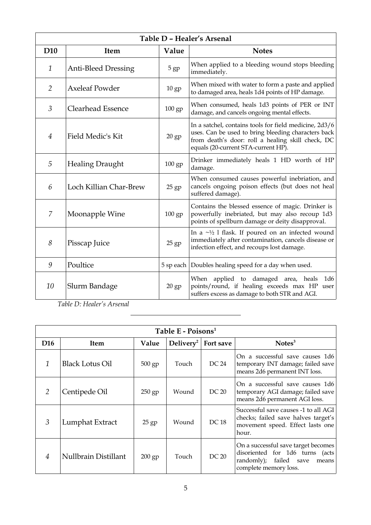| Table D - Healer's Arsenal |                            |                 |                                                                                                                                                                                                           |  |
|----------------------------|----------------------------|-----------------|-----------------------------------------------------------------------------------------------------------------------------------------------------------------------------------------------------------|--|
| D <sub>10</sub>            | <b>Item</b>                | Value           | <b>Notes</b>                                                                                                                                                                                              |  |
| 1                          | <b>Anti-Bleed Dressing</b> | 5 <sub>gp</sub> | When applied to a bleeding wound stops bleeding<br>immediately.                                                                                                                                           |  |
| $\overline{2}$             | <b>Axeleaf Powder</b>      | $10$ gp         | When mixed with water to form a paste and applied<br>to damaged area, heals 1d4 points of HP damage.                                                                                                      |  |
| 3                          | <b>Clearhead Essence</b>   | $100$ gp        | When consumed, heals 1d3 points of PER or INT<br>damage, and cancels ongoing mental effects.                                                                                                              |  |
| 4                          | Field Medic's Kit          | $20$ gp         | In a satchel, contains tools for field medicine, 2d3/6<br>uses. Can be used to bring bleeding characters back<br>from death's door: roll a healing skill check, DC<br>equals (20-current STA-current HP). |  |
| 5                          | <b>Healing Draught</b>     | $100$ gp        | Drinker immediately heals 1 HD worth of HP<br>damage.                                                                                                                                                     |  |
| 6                          | Loch Killian Char-Brew     | $25$ gp         | When consumed causes powerful inebriation, and<br>cancels ongoing poison effects (but does not heal<br>suffered damage).                                                                                  |  |
| 7                          | Moonapple Wine             | $100$ gp        | Contains the blessed essence of magic. Drinker is<br>powerfully inebriated, but may also recoup 1d3<br>points of spellburn damage or deity disapproval.                                                   |  |
| 8                          | Pisscap Juice              | $25$ gp         | In a $\sim$ 1/2 1 flask. If poured on an infected wound<br>immediately after contamination, cancels disease or<br>infection effect, and recoups lost damage.                                              |  |
| 9                          | Poultice                   |                 | 5 sp each Doubles healing speed for a day when used.                                                                                                                                                      |  |
| 10                         | Slurm Bandage              | $20$ gp         | When applied to damaged area, heals<br>1d6<br>points/round, if healing exceeds max HP user<br>suffers excess as damage to both STR and AGI.                                                               |  |

*Table D: Healer's Arsenal*

 $\overline{a}$ 

| Table E - Poisons <sup>1</sup> |                        |          |              |           |                                                                                                                                    |
|--------------------------------|------------------------|----------|--------------|-----------|------------------------------------------------------------------------------------------------------------------------------------|
| D <sub>16</sub>                | Item                   | Value    | $Delivery^2$ | Fort save | Notes <sup>3</sup>                                                                                                                 |
| 1                              | <b>Black Lotus Oil</b> | 500 gp   | Touch        | DC 24     | On a successful save causes 1d6<br>temporary INT damage; failed save<br>means 2d6 permanent INT loss.                              |
| $\mathcal{P}$                  | Centipede Oil          | $250$ gp | Wound        | DC 20     | On a successful save causes 1d6<br>temporary AGI damage; failed save<br>means 2d6 permanent AGI loss.                              |
| $\mathfrak{Z}$                 | Lumphat Extract        | $25$ gp  | Wound        | DC 18     | Successful save causes -1 to all AGI<br>checks; failed save halves target's<br>movement speed. Effect lasts one<br>hour.           |
| 4                              | Nullbrain Distillant   | $200$ gp | Touch        | DC 20     | On a successful save target becomes<br>disoriented for 1d6 turns (acts<br>randomly); failed save<br>means<br>complete memory loss. |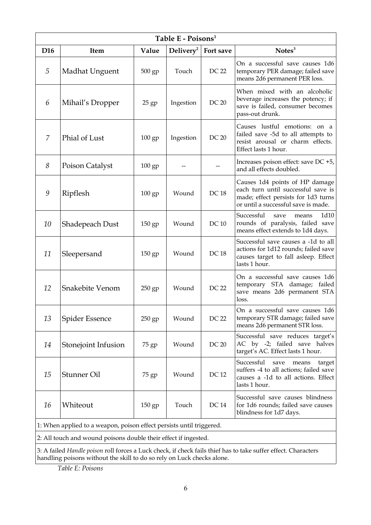| Table E - Poisons <sup>1</sup> |                                                                        |          |              |             |                                                                                                                                                    |
|--------------------------------|------------------------------------------------------------------------|----------|--------------|-------------|----------------------------------------------------------------------------------------------------------------------------------------------------|
| D <sub>16</sub>                | Item                                                                   | Value    | $Delivery^2$ | Fort save   | Notes <sup>3</sup>                                                                                                                                 |
| 5                              | Madhat Unguent                                                         | 500 gp   | Touch        | DC 22       | On a successful save causes 1d6<br>temporary PER damage; failed save<br>means 2d6 permanent PER loss.                                              |
| 6                              | Mihail's Dropper                                                       | $25$ gp  | Ingestion    | DC 20       | When mixed with an alcoholic<br>beverage increases the potency; if<br>save is failed, consumer becomes<br>pass-out drunk.                          |
| 7                              | Phial of Lust                                                          | $100$ gp | Ingestion    | DC 20       | Causes lustful emotions: on a<br>failed save -5d to all attempts to<br>resist arousal or charm effects.<br>Effect lasts 1 hour.                    |
| 8                              | Poison Catalyst                                                        | $100$ gp |              |             | Increases poison effect: save DC +5,<br>and all effects doubled.                                                                                   |
| 9                              | Ripflesh                                                               | 100 gp   | Wound        | <b>DC18</b> | Causes 1d4 points of HP damage<br>each turn until successful save is<br>made; effect persists for 1d3 turns<br>or until a successful save is made. |
| 10                             | Shadepeach Dust                                                        | $150$ gp | Wound        | <b>DC10</b> | Successful<br>1d10<br>save<br>means<br>rounds of paralysis, failed save<br>means effect extends to 1d4 days.                                       |
| 11                             | Sleepersand                                                            | $150$ gp | Wound        | <b>DC18</b> | Successful save causes a -1d to all<br>actions for 1d12 rounds; failed save<br>causes target to fall asleep. Effect<br>lasts 1 hour.               |
| 12                             | Snakebite Venom                                                        | 250 gp   | Wound        | DC 22       | On a successful save causes 1d6<br>temporary STA damage; failed<br>save means 2d6 permanent STA<br>loss.                                           |
| 13                             | Spider Essence                                                         | 250 gp   | Wound        | DC 22       | On a successful save causes 1d6<br>temporary STR damage; failed save<br>means 2d6 permanent STR loss.                                              |
| 14                             | Stonejoint Infusion                                                    | 75 gp    | Wound        | DC 20       | Successful save reduces target's<br>AC by -2; failed save halves<br>target's AC. Effect lasts 1 hour.                                              |
| 15                             | Stunner Oil                                                            | 75 gp    | Wound        | DC 12       | Successful<br>save<br>means<br>target<br>suffers -4 to all actions; failed save<br>causes a -1d to all actions. Effect<br>lasts 1 hour.            |
| 16                             | Whiteout                                                               | $150$ gp | Touch        | DC 14       | Successful save causes blindness<br>for 1d6 rounds; failed save causes<br>blindness for 1d7 days.                                                  |
|                                | 1: When applied to a weapon, poison effect persists until triggered.   |          |              |             |                                                                                                                                                    |
|                                | 2: All touch and wound poisons double their effect if ingested.        |          |              |             |                                                                                                                                                    |
|                                | handling poisons without the skill to do so rely on Luck checks alone. |          |              |             | 3: A failed Handle poison roll forces a Luck check, if check fails thief has to take suffer effect. Characters                                     |

*Table E: Poisons*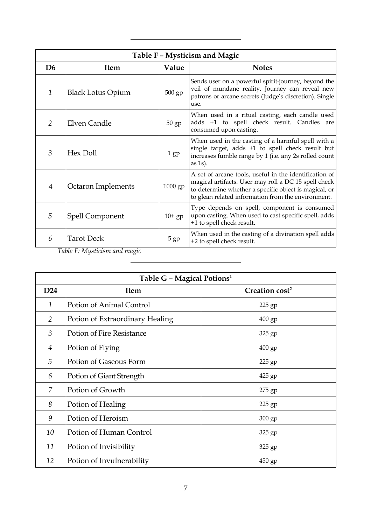| Table F - Mysticism and Magic |                          |                 |                                                                                                                                                                                                                               |  |  |
|-------------------------------|--------------------------|-----------------|-------------------------------------------------------------------------------------------------------------------------------------------------------------------------------------------------------------------------------|--|--|
| D <sub>6</sub>                | <b>Item</b>              | Value           | <b>Notes</b>                                                                                                                                                                                                                  |  |  |
| 1                             | <b>Black Lotus Opium</b> | $500$ gp        | Sends user on a powerful spirit-journey, beyond the<br>veil of mundane reality. Journey can reveal new<br>patrons or arcane secrets (Judge's discretion). Single<br>use.                                                      |  |  |
| $\overline{2}$                | Elven Candle             | $50$ gp         | When used in a ritual casting, each candle used<br>adds +1 to spell check result. Candles are<br>consumed upon casting.                                                                                                       |  |  |
| 3                             | Hex Doll                 | 1 <sub>gp</sub> | When used in the casting of a harmful spell with a<br>single target, adds +1 to spell check result but<br>increases fumble range by 1 (i.e. any 2s rolled count<br>as $1s$ ).                                                 |  |  |
| $\overline{4}$                | Octaron Implements       | 1000 gp         | A set of arcane tools, useful in the identification of<br>magical artifacts. User may roll a DC 15 spell check<br>to determine whether a specific object is magical, or<br>to glean related information from the environment. |  |  |
| 5                             | Spell Component          | $10+gp$         | Type depends on spell, component is consumed<br>upon casting. When used to cast specific spell, adds<br>+1 to spell check result.                                                                                             |  |  |
| 6                             | <b>Tarot Deck</b>        | 5 <sub>gp</sub> | When used in the casting of a divination spell adds<br>+2 to spell check result.                                                                                                                                              |  |  |

*Table F: Mysticism and magic*

 $\overline{a}$ 

 $\overline{a}$ 

| Table G - Magical Potions <sup>1</sup> |                                 |                            |  |  |
|----------------------------------------|---------------------------------|----------------------------|--|--|
| D <sub>24</sub>                        | <b>Item</b>                     | Creation cost <sup>2</sup> |  |  |
| $\mathbf{1}$                           | Potion of Animal Control        | 225 gp                     |  |  |
| 2                                      | Potion of Extraordinary Healing | 400 gp                     |  |  |
| 3                                      | Potion of Fire Resistance       | 325 gp                     |  |  |
| 4                                      | Potion of Flying                | 400 gp                     |  |  |
| 5                                      | Potion of Gaseous Form          | 225 gp                     |  |  |
| 6                                      | Potion of Giant Strength        | 425 gp                     |  |  |
| $\overline{Z}$                         | Potion of Growth                | 275 gp                     |  |  |
| 8                                      | Potion of Healing               | 225 gp                     |  |  |
| 9                                      | Potion of Heroism               | 300 gp                     |  |  |
| 10                                     | Potion of Human Control         | 325 gp                     |  |  |
| 11                                     | Potion of Invisibility          | 325 gp                     |  |  |
| 12                                     | Potion of Invulnerability       | $450$ gp                   |  |  |